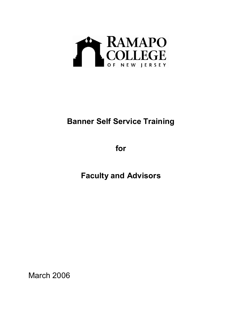

## **Banner Self Service Training**

**for** 

**Faculty and Advisors**

March 2006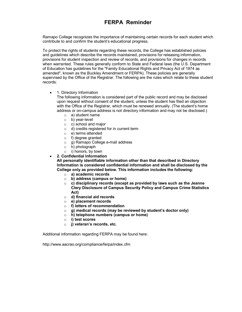## **FERPA Reminder**

Ramapo College recognizes the importance of maintaining certain records for each student which contribute to and confirm the student's educational progress.

To protect the rights of students regarding these records, the College has established policies and guidelines which describe the records maintained, provisions for releasing information, provisions for student inspection and review of records, and provisions for changes in records when warranted. These rules generally conform to State and Federal laws (the U.S. Department of Education has guidelines for the "Family Educational Rights and Privacy Act of 1974 as amended", known as the Buckley Amendment or FERPA). These policies are generally supervised by the Office of the Registrar. The following are the rules which relate to these student records:

· 1. Directory Information

The following information is considered part of the public record and may be disclosed upon request without consent of the student, unless the student has filed an objection with the Office of the Registrar, which must be renewed annually. (The student's home address or on-campus address is not directory information and may not be disclosed.)

- o a) student name
- $o$  b) year-level
- o c) school and major
- o d) credits registered for in current term
- o e) terms attended
- o f) degree granted
- $\circ$  q) Ramapo College e-mail address
- o h) photograph
- o i) honors, by town
- · **2. Confidential Information**

**All personally identifiable information other than that described in Directory Information is considered confidential information and shall be disclosed by the College only as provided below. This information includes the following:** 

- o **a) academic records**
- o **b) address (campus or home)**
- o **c) disciplinary records (except as provided by laws such as the Jeanne Clery Disclosure of Campus Security Policy and Campus Crime Statistics Act)**
- o **d) financial aid records**
- o **e) placement records**
- o **f) letters of recommendation**
- o **g) medical records (may be reviewed by student's doctor only)**
- o **h) telephone numbers (campus or home)**
- o **i) test scores**
- o **j) veteran's records, etc.**

Additional information regarding FERPA may be found here:

http://www.aacrao.org/compliance/ferpa/index.cfm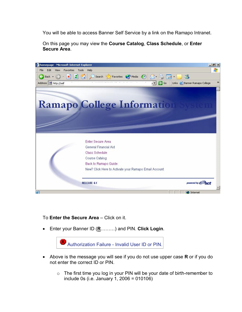You will be able to access Banner Self Service by a link on the Ramapo Intranet.

On this page you may view the **Course Catalog**, **Class Schedule**, or **Enter Secure Area**.



To **Enter the Secure Area** – Click on it.

· Enter your Banner ID (**R**………) and PIN. **Click Login**.



- · Above is the message you will see if you do not use upper case **R** or if you do not enter the correct ID or PIN.
	- $\circ$  The first time you log in your PIN will be your date of birth-remember to include 0s (i.e. January 1, 2006 = 010106)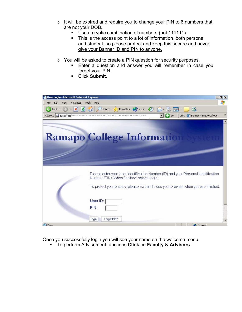- $\circ$  It will be expired and require you to change your PIN to 6 numbers that are not your DOB.
	- Use a cryptic combination of numbers (not 111111).
	- This is the access point to a lot of information, both personal and student, so please protect and keep this secure and never give your Banner ID and PIN to anyone.
- o You will be asked to create a PIN question for security purposes.
	- ß Enter a question and answer you will remember in case you forget your PIN.
	- ß Click **Submit.**



Once you successfully login you will see your name on the welcome menu.

ß To perform Advisement functions **Click** on **Faculty & Advisors**.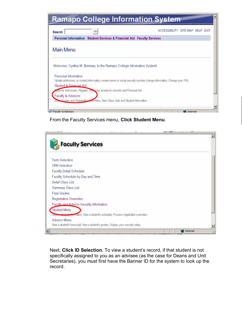| Go<br>Search                                                                                                                                                               | ACCESSIBILITY SITE MAP HELP EXIT |
|----------------------------------------------------------------------------------------------------------------------------------------------------------------------------|----------------------------------|
| Personal Information Student Services & Financial Aid Faculty Services                                                                                                     |                                  |
| <b>Main Menu</b>                                                                                                                                                           |                                  |
|                                                                                                                                                                            |                                  |
|                                                                                                                                                                            |                                  |
| Personal Information                                                                                                                                                       |                                  |
| Update addresses, or contact information; review name or social security number change information; Change your PIN,                                                       |                                  |
| Student & Einancial Aid                                                                                                                                                    |                                  |
| Welcome, Cynthia M. Brennan, to the Ramapo College Information System!<br>apply for Admission, Register, Westwour academic records and Financial Aid<br>Faculty & Advisors |                                  |

From the Faculty Services menu, **Click Student Menu**.

| <b>Faculty Services</b>                                                                 |  |  |
|-----------------------------------------------------------------------------------------|--|--|
| <b>Term Selection</b>                                                                   |  |  |
| <b>CRN</b> Selection                                                                    |  |  |
| Faculty Detail Schedule                                                                 |  |  |
| Faculty Schedule by Day and Time                                                        |  |  |
| Detail Class List                                                                       |  |  |
| Summary Class List                                                                      |  |  |
| <b>Final Grades</b>                                                                     |  |  |
| Registration Overrides                                                                  |  |  |
| Faculty and Advisor Security Information                                                |  |  |
| Student Menu                                                                            |  |  |
| Display chident information; View a student's schedule; Process registration overrides. |  |  |
| <b>Advisor Menu</b>                                                                     |  |  |
| View a student's transcript; View a student's grades; Display your security setup.      |  |  |

Next, **Click ID Selection**. To view a student's record, if that student is not specifically assigned to you as an advisee (as the case for Deans and Unit Secretaries), you must first have the Banner ID for the system to look up the record.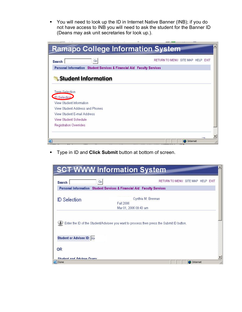• You will need to look up the ID in Internet Native Banner (INB); if you do not have access to INB you will need to ask the student for the Banner ID (Deans may ask unit secretaries for look up.).

|                                                                        | <b>Ramapo College Information System</b> |
|------------------------------------------------------------------------|------------------------------------------|
| Go<br><b>Search</b>                                                    | RETURN TO MENU SITE MAP HELP EXIT        |
| Personal Information Student Services & Financial Aid Faculty Services |                                          |
| <b>Student Information</b>                                             |                                          |
| Term Selection<br><b>ID</b> Selection                                  |                                          |
| View Student Information                                               |                                          |
| View Student Address and Phones                                        |                                          |
|                                                                        |                                          |
| View Student F-mail Address                                            |                                          |
| View Student Schedule                                                  |                                          |

**F** Type in ID and **Click Submit** button at bottom of screen.

| <b>SCT WWW Information System</b>                                                        |                                             |
|------------------------------------------------------------------------------------------|---------------------------------------------|
| Go<br><b>Search</b>                                                                      | RETURN TO MENU SITE MAP HELP EXIT           |
| Personal Information Student Services & Financial Aid Faculty Services                   |                                             |
| <b>ID</b> Selection<br>Fall 2006                                                         | Cynthia M. Brennan<br>Mar 01, 2006 09:43 am |
|                                                                                          |                                             |
| Enter the ID of the Student/Advisee you want to process then press the Submit ID button. |                                             |
| Student or Advisee ID: ROI                                                               |                                             |
| <b>OR</b>                                                                                |                                             |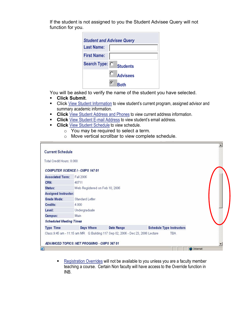If the student is not assigned to you the Student Advisee Query will not function for you.

|                    | <b>Student and Advisee Query</b> |
|--------------------|----------------------------------|
| <b>Last Name:</b>  |                                  |
| <b>First Name:</b> |                                  |
| Search Type: O     | <b>Students</b>                  |
|                    | О<br><b>Advisees</b>             |
|                    | R∩th                             |

You will be asked to verify the name of the student you have selected.

- ß **Click Submit**.
- **EXECLICK** View Student [Information](http://selfserve.banner.ramapo.edu:9092/pls/PPRD/bwlkgstu.P_FacStuInfo) to view student's current program, assigned advisor and summary academic information.
- **Click** View Student Address [and Phones](http://selfserve.banner.ramapo.edu:9092/pls/PPRD/bwlkosad.P_FacSelectAtypView) to view current address information.
- **Click** View Student E-mail Address to view student's email address.
- **Click** View Student [Schedule](http://selfserve.banner.ramapo.edu:9092/pls/PPRD/bwlkfstu.P_FacStuSchd) to view schedule.
	- o You may be required to select a term.
	- o Move vertical scrollbar to view complete schedule.

| <b>Current Schedule</b>                    |                 |            |                                                                                |                                  |  |
|--------------------------------------------|-----------------|------------|--------------------------------------------------------------------------------|----------------------------------|--|
| Total Credit Hours: 8,000                  |                 |            |                                                                                |                                  |  |
| <b>COMPUTER SCIENCE I - CMPS 147 01</b>    |                 |            |                                                                                |                                  |  |
| <b>Associated Term:</b>                    | Fall 2006       |            |                                                                                |                                  |  |
| CRN:                                       | 40711           |            |                                                                                |                                  |  |
| Status:                                    |                 |            | Web Registered on Feb 10, 2006                                                 |                                  |  |
| <b>Assigned Instructor:</b>                |                 |            |                                                                                |                                  |  |
| Grade Mode:                                | Standard Letter |            |                                                                                |                                  |  |
| Credits:                                   | 4.000           |            |                                                                                |                                  |  |
| Level:                                     | Undergraduate   |            |                                                                                |                                  |  |
| Campus:                                    | Main            |            |                                                                                |                                  |  |
| <b>Scheduled Meeting Times</b>             |                 |            |                                                                                |                                  |  |
| <b>Type Time</b>                           |                 | Days Where | Date Range                                                                     | <b>Schedule Type Instructors</b> |  |
|                                            |                 |            | Class 9:45 am - 11:15 am MR G Building 117 Sep 02, 2006 - Dec 23, 2006 Lecture | TBA.                             |  |
| ADVANCED TOPICS: NET PROGMNG - CMPS 367 01 |                 |            |                                                                                |                                  |  |

[Registration](http://selfserve.banner.ramapo.edu:9092/pls/PPRD/bwlkfrov.P_FacRegOvr) Overrides will not be available to you unless you are a faculty member teaching a course. Certain Non faculty will have access to the Override function in INB.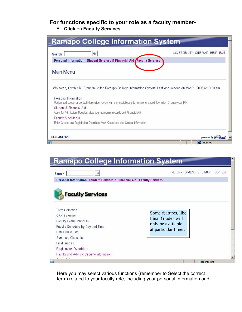## **For functions specific to your role as a faculty member**

ß **Click** on **Faculty Services**.

| Go<br><b>Search</b>                                                                                                                          | <b>ACCESSIBILITY</b><br>SITE MAP<br>HELP EXIT |
|----------------------------------------------------------------------------------------------------------------------------------------------|-----------------------------------------------|
| Personal Information Student Services & Financial Aid Faculty Services                                                                       |                                               |
| <b>Main Menu</b>                                                                                                                             |                                               |
| Welcome, Cynthia M. Brennan, to the Ramapo College Information System! Last web access on Mar 01, 2006 at 10:29 am                           |                                               |
| Personal Information<br>Update addresses, or contact information; review name or social security number change information; Change your PIN. |                                               |
| Student & Financial Aid                                                                                                                      |                                               |
| Apply for Admission, Register, View your academic records and Financial Aid                                                                  |                                               |
| Faculty & Advisors<br>Enter Grades and Registration Overrides, View Class Lists and Student Information                                      |                                               |
| RELEASE: 6.1                                                                                                                                 | powered by @ort                               |

| Go<br><b>Search</b>                                                                                                                                                            | RETURN TO MENU SITE MAP HELP EXIT                                                            |
|--------------------------------------------------------------------------------------------------------------------------------------------------------------------------------|----------------------------------------------------------------------------------------------|
| Personal Information Student Services & Financial Aid Faculty Services<br><b>Faculty Services</b>                                                                              |                                                                                              |
| <b>Term Selection</b><br><b>CRN</b> Selection<br>Faculty Detail Schedule<br>Faculty Schedule by Day and Time<br>Detail Class List<br>Summary Class List<br><b>Final Grades</b> | Some features, like<br><b>Final Grades will</b><br>only be available<br>at particular times. |

Here you may select various functions (remember to Select the correct term) related to your faculty role, including your personal information and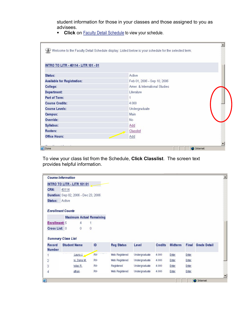student information for those in your classes and those assigned to you as advisees.

**EXECUTE:** Click on Faculty [Detail Schedule](http://selfserve.banner.ramapo.edu:9092/pls/PPRD/bwlkifac.P_FacSched) to view your schedule.

| INTRO TO LITR - 40114 - LITR 101 - 01 |                               |  |
|---------------------------------------|-------------------------------|--|
| Status:                               | Active                        |  |
| <b>Available for Registration:</b>    | Feb 01, 2006 - Sep 10, 2006   |  |
| College:                              | Amer. & International Studies |  |
| Department:                           | Literature                    |  |
| Part of Term:                         |                               |  |
| <b>Course Credits:</b>                | 4.000                         |  |
| <b>Course Levels:</b>                 | Undergraduate                 |  |
| Campus:                               | Main                          |  |
| Override:                             | No.                           |  |
| Syllabus:                             | Add                           |  |
| Rosters:                              | Classlist                     |  |
| <b>Office Hours:</b>                  | Add                           |  |

To view your class list from the Schedule, **Click Classlist**. The screen text provides helpful information.

|                                | <b>Course Information</b>             |                |                   |               |                |                |       |                     |
|--------------------------------|---------------------------------------|----------------|-------------------|---------------|----------------|----------------|-------|---------------------|
|                                | INTRO TO LITR - LITR 101 01           |                |                   |               |                |                |       |                     |
| CRN:                           | 40114                                 |                |                   |               |                |                |       |                     |
|                                | Duration: Sep 02, 2006 - Dec 23, 2006 |                |                   |               |                |                |       |                     |
| Status:                        | Active                                |                |                   |               |                |                |       |                     |
|                                | <b>Enrollment Counts</b>              |                |                   |               |                |                |       |                     |
|                                |                                       |                |                   |               |                |                |       |                     |
|                                | <b>Maximum Actual Remaining</b>       |                |                   |               |                |                |       |                     |
| <b>Enrollment: 5</b>           | 4                                     | 1              |                   |               |                |                |       |                     |
| Cross List: 0                  | $\theta$                              | $\theta$       |                   |               |                |                |       |                     |
|                                | <b>Summary Class List</b>             |                |                   |               |                |                |       |                     |
| <b>Record</b><br><b>Number</b> | <b>Student Name</b>                   | ID             | <b>Reg Status</b> | Level         | <b>Credits</b> | <b>Midterm</b> | Final | <b>Grade Detail</b> |
| 1                              | Laura J.                              | R0i            | Web Registered    | Undergraduate | 4.000          | Enter          | Enter |                     |
| $\overline{2}$                 | re, Dana M.                           | R0             | Web Registered    | Undergraduate | 4.000          | Enter          | Enter |                     |
| 3                              | holas R.                              | R <sub>0</sub> | Registered        | Undergraduate | 4.000          | Enter          | Enter |                     |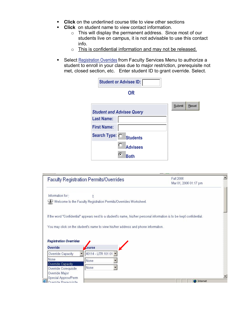- **EXECT** Click on the underlined course title to view other sections
- **Click** on student name to view contact information.
	- o This will display the permanent address. Since most of our students live on campus, it is not advisable to use this contact info.
	- o This is confidential information and may not be released.
- **Select [Registration](http://selfserve.banner.ramapo.edu:9092/pls/PPRD/bwlkfrov.P_FacRegOvr) Overrides from Faculty Services Menu to authorize a** student to enroll in your class due to major restriction, prerequisite not met, closed section, etc. Enter student ID to grant override. Select.

|                    | <b>Student or Advisee ID:</b>    |                        |
|--------------------|----------------------------------|------------------------|
|                    | <b>OR</b>                        |                        |
|                    |                                  | Submit<br><b>Reset</b> |
|                    | <b>Student and Advisee Query</b> |                        |
| <b>Last Name:</b>  |                                  |                        |
| <b>First Name:</b> |                                  |                        |
| Search Type: O     | <b>Students</b>                  |                        |
|                    | $\bullet$<br><b>Advisees</b>     |                        |
|                    | G.<br>Both                       |                        |

|                                                                                                                                                               | Faculty Registration Permits/Overrides                                             | Fall 2006<br>Mar 01, 2006 01:17 pm                                                                                    |
|---------------------------------------------------------------------------------------------------------------------------------------------------------------|------------------------------------------------------------------------------------|-----------------------------------------------------------------------------------------------------------------------|
| Information for                                                                                                                                               | э                                                                                  |                                                                                                                       |
|                                                                                                                                                               | Welcome to the Faculty Registration Permits/Overrides Worksheet.                   |                                                                                                                       |
|                                                                                                                                                               |                                                                                    | If the word "Confidential" appears next to a student's name, his/her personal information is to be kept confidential. |
|                                                                                                                                                               | You may click on the student's name to view his/her address and phone information. |                                                                                                                       |
|                                                                                                                                                               | Course                                                                             |                                                                                                                       |
|                                                                                                                                                               | 40114 - LITR 101 01                                                                |                                                                                                                       |
|                                                                                                                                                               |                                                                                    |                                                                                                                       |
|                                                                                                                                                               | None                                                                               |                                                                                                                       |
|                                                                                                                                                               | None                                                                               |                                                                                                                       |
| <b>Registration Overrides</b><br>Override<br>Override Capacity<br>None.<br>Override Capacity<br>Override Corequisite<br>Override Major<br>Special Approv/Perm |                                                                                    |                                                                                                                       |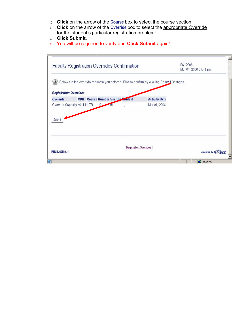- o **Click** on the arrow of the **Course** box to select the course section.
- o **Click** on the arrow of the **Override** box to select the appropriate Override for the student's particular registration problem!
- o **Click Submit**.
- o You will be required to verify and **Click Submit** again!

| <b>Faculty Registration Overrides Confirmation</b> |                                          |                                                                                         | Mar 01, 2006 01:41 pm | Fall 2006 |  |
|----------------------------------------------------|------------------------------------------|-----------------------------------------------------------------------------------------|-----------------------|-----------|--|
|                                                    |                                          | Below are the override requests you entered. Please confirm by clicking Commit Changes. |                       |           |  |
| <b>Registration Overrides</b>                      |                                          |                                                                                         |                       |           |  |
| Override                                           | <b>CRN</b> Course Number Section Crudent |                                                                                         | <b>Activity Date</b>  |           |  |
|                                                    |                                          |                                                                                         |                       |           |  |
| Submit                                             |                                          |                                                                                         |                       |           |  |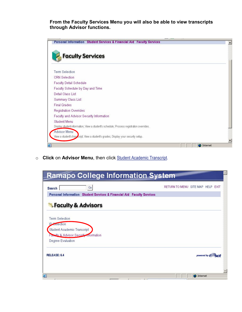**From the Faculty Services Menu you will also be able to view transcripts through Advisor functions.** 

| Personal Information Student Services & Financial Aid Faculty Services                  |          |
|-----------------------------------------------------------------------------------------|----------|
| <b>Faculty Services</b>                                                                 |          |
| <b>Term Selection</b>                                                                   |          |
| <b>CRN</b> Selection                                                                    |          |
| Faculty Detail Schedule                                                                 |          |
| Faculty Schedule by Day and Time                                                        |          |
| Detail Class List                                                                       |          |
| Summary Class List                                                                      |          |
| <b>Final Grades</b>                                                                     |          |
| <b>Registration Overrides</b>                                                           |          |
| Faculty and Advisor Security Information                                                |          |
| <b>Student Menu</b>                                                                     |          |
| Display student information; View a student's schedule; Process registration overrides. |          |
| Advisor Menu                                                                            |          |
| View a student's trapecript; View a student's grades; Display your security setup.      |          |
| 画                                                                                       | Internet |

o **Click** on **Advisor Menu**, then click Student Academic [Transcript.](http://selfserve.banner.ramapo.edu:9092/pls/PPRD/bwlkftrn.P_FacDispTran)

| <b>Ramapo College Information System</b>                               |                                   |
|------------------------------------------------------------------------|-----------------------------------|
| Go<br>Search                                                           | RETURN TO MENU SITE MAP HELP EXIT |
| Personal Information Student Services & Financial Aid Faculty Services |                                   |
| <b>Faculty &amp; Advisors</b>                                          |                                   |
| Term Selection                                                         |                                   |
| <b>D</b> Selection<br>Student Academic Transcript                      |                                   |
| <b>Faculty &amp; Advisor Security information</b>                      |                                   |
| Degree Evaluation                                                      |                                   |
| RELEASE: 6.4                                                           | powered by $\mathcal O$           |
|                                                                        |                                   |
| 画                                                                      | Internet                          |